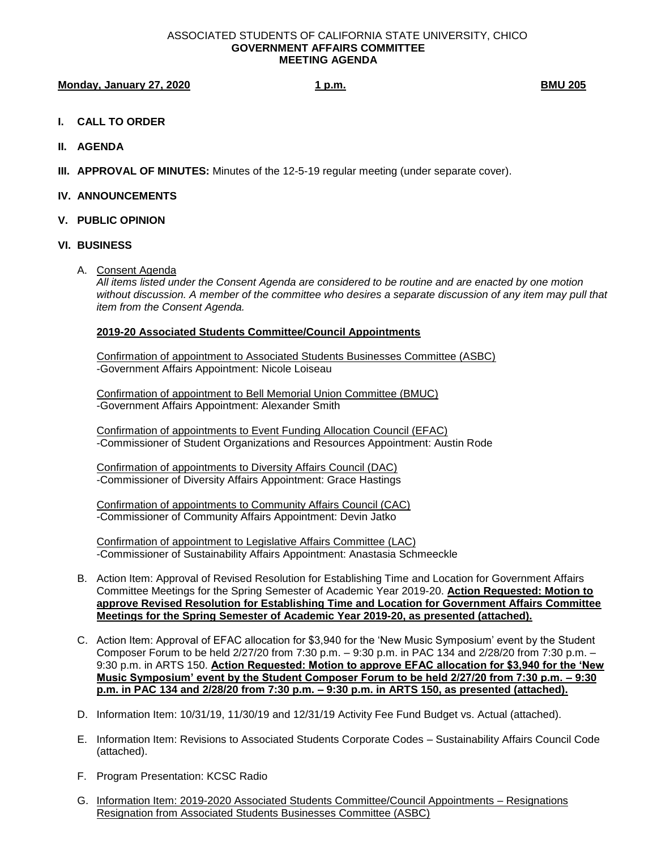#### ASSOCIATED STUDENTS OF CALIFORNIA STATE UNIVERSITY, CHICO **GOVERNMENT AFFAIRS COMMITTEE MEETING AGENDA**

## **Monday, January 27, 2020 1 p.m. BMU 205**

- **I. CALL TO ORDER**
- **II. AGENDA**
- **III. APPROVAL OF MINUTES:** Minutes of the 12-5-19 regular meeting (under separate cover).

### **IV. ANNOUNCEMENTS**

**V. PUBLIC OPINION** 

### **VI. BUSINESS**

A. Consent Agenda

*All items listed under the Consent Agenda are considered to be routine and are enacted by one motion without discussion. A member of the committee who desires a separate discussion of any item may pull that item from the Consent Agenda.* 

### **2019-20 Associated Students Committee/Council Appointments**

Confirmation of appointment to Associated Students Businesses Committee (ASBC) -Government Affairs Appointment: Nicole Loiseau

Confirmation of appointment to Bell Memorial Union Committee (BMUC) -Government Affairs Appointment: Alexander Smith

Confirmation of appointments to Event Funding Allocation Council (EFAC) -Commissioner of Student Organizations and Resources Appointment: Austin Rode

Confirmation of appointments to Diversity Affairs Council (DAC) -Commissioner of Diversity Affairs Appointment: Grace Hastings

Confirmation of appointments to Community Affairs Council (CAC) -Commissioner of Community Affairs Appointment: Devin Jatko

Confirmation of appointment to Legislative Affairs Committee (LAC) -Commissioner of Sustainability Affairs Appointment: Anastasia Schmeeckle

- B. Action Item: Approval of Revised Resolution for Establishing Time and Location for Government Affairs Committee Meetings for the Spring Semester of Academic Year 2019-20. **Action Requested: Motion to approve Revised Resolution for Establishing Time and Location for Government Affairs Committee Meetings for the Spring Semester of Academic Year 2019-20, as presented (attached).**
- C. Action Item: Approval of EFAC allocation for \$3,940 for the 'New Music Symposium' event by the Student Composer Forum to be held 2/27/20 from 7:30 p.m. – 9:30 p.m. in PAC 134 and 2/28/20 from 7:30 p.m. – 9:30 p.m. in ARTS 150. **Action Requested: Motion to approve EFAC allocation for \$3,940 for the 'New Music Symposium' event by the Student Composer Forum to be held 2/27/20 from 7:30 p.m. – 9:30 p.m. in PAC 134 and 2/28/20 from 7:30 p.m. – 9:30 p.m. in ARTS 150, as presented (attached).**
- D. Information Item: 10/31/19, 11/30/19 and 12/31/19 Activity Fee Fund Budget vs. Actual (attached).
- E. Information Item: Revisions to Associated Students Corporate Codes Sustainability Affairs Council Code (attached).
- F. Program Presentation: KCSC Radio
- G. Information Item: 2019-2020 Associated Students Committee/Council Appointments Resignations Resignation from Associated Students Businesses Committee (ASBC)